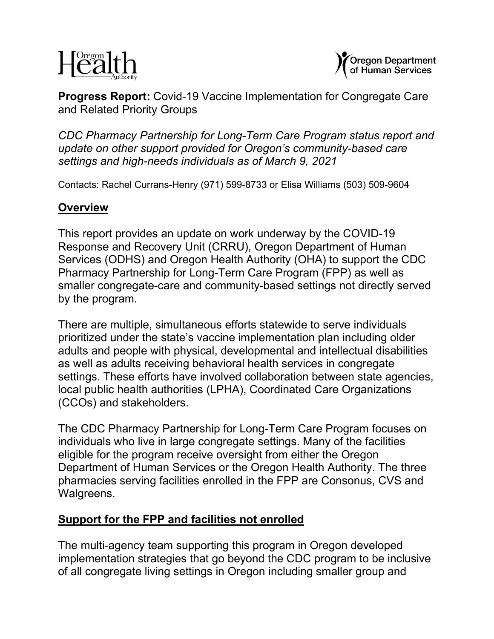



**Progress Report:** Covid-19 Vaccine Implementation for Congregate Care and Related Priority Groups

*CDC Pharmacy Partnership for Long-Term Care Program status report and update on other support provided for Oregon's community-based care settings and high-needs individuals as of March 9, 2021*

Contacts: Rachel Currans-Henry (971) 599-8733 or Elisa Williams (503) 509-9604

## **Overview**

This report provides an update on work underway by the COVID-19 Response and Recovery Unit (CRRU), Oregon Department of Human Services (ODHS) and Oregon Health Authority (OHA) to support the CDC Pharmacy Partnership for Long-Term Care Program (FPP) as well as smaller congregate-care and community-based settings not directly served by the program.

There are multiple, simultaneous efforts statewide to serve individuals prioritized under the state's vaccine implementation plan including older adults and people with physical, developmental and intellectual disabilities as well as adults receiving behavioral health services in congregate settings. These efforts have involved collaboration between state agencies, local public health authorities (LPHA), Coordinated Care Organizations (CCOs) and stakeholders.

The CDC Pharmacy Partnership for Long-Term Care Program focuses on individuals who live in large congregate settings. Many of the facilities eligible for the program receive oversight from either the Oregon Department of Human Services or the Oregon Health Authority. The three pharmacies serving facilities enrolled in the FPP are Consonus, CVS and Walgreens.

#### **Support for the FPP and facilities not enrolled**

The multi-agency team supporting this program in Oregon developed implementation strategies that go beyond the CDC program to be inclusive of all congregate living settings in Oregon including smaller group and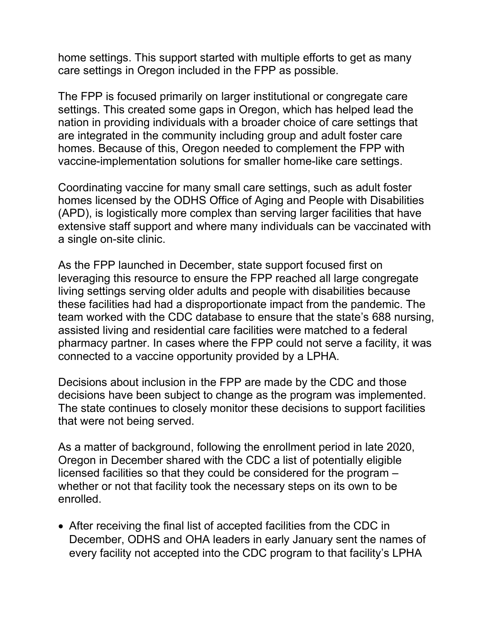home settings. This support started with multiple efforts to get as many care settings in Oregon included in the FPP as possible.

The FPP is focused primarily on larger institutional or congregate care settings. This created some gaps in Oregon, which has helped lead the nation in providing individuals with a broader choice of care settings that are integrated in the community including group and adult foster care homes. Because of this, Oregon needed to complement the FPP with vaccine-implementation solutions for smaller home-like care settings.

Coordinating vaccine for many small care settings, such as adult foster homes licensed by the ODHS Office of Aging and People with Disabilities (APD), is logistically more complex than serving larger facilities that have extensive staff support and where many individuals can be vaccinated with a single on-site clinic.

As the FPP launched in December, state support focused first on leveraging this resource to ensure the FPP reached all large congregate living settings serving older adults and people with disabilities because these facilities had had a disproportionate impact from the pandemic. The team worked with the CDC database to ensure that the state's 688 nursing, assisted living and residential care facilities were matched to a federal pharmacy partner. In cases where the FPP could not serve a facility, it was connected to a vaccine opportunity provided by a LPHA.

Decisions about inclusion in the FPP are made by the CDC and those decisions have been subject to change as the program was implemented. The state continues to closely monitor these decisions to support facilities that were not being served.

As a matter of background, following the enrollment period in late 2020, Oregon in December shared with the CDC a list of potentially eligible licensed facilities so that they could be considered for the program – whether or not that facility took the necessary steps on its own to be enrolled.

• After receiving the final list of accepted facilities from the CDC in December, ODHS and OHA leaders in early January sent the names of every facility not accepted into the CDC program to that facility's LPHA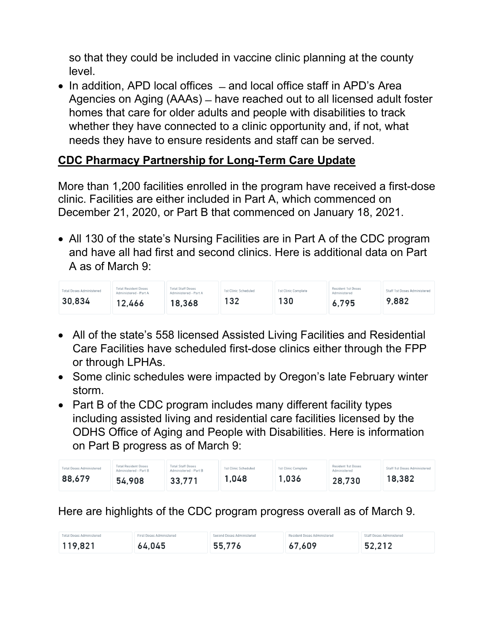so that they could be included in vaccine clinic planning at the county level.

• In addition, APD local offices  $-$  and local office staff in APD's Area Agencies on Aging (AAAs) ̶ have reached out to all licensed adult foster homes that care for older adults and people with disabilities to track whether they have connected to a clinic opportunity and, if not, what needs they have to ensure residents and staff can be served.

## **CDC Pharmacy Partnership for Long-Term Care Update**

More than 1,200 facilities enrolled in the program have received a first-dose clinic. Facilities are either included in Part A, which commenced on December 21, 2020, or Part B that commenced on January 18, 2021.

• All 130 of the state's Nursing Facilities are in Part A of the CDC program and have all had first and second clinics. Here is additional data on Part A as of March 9:

| <b>Total Doses Administered</b> | <b>Total Resident Doses</b><br>Administered - Part A | <b>Total Staff Doses</b><br>Administered - Part A | 1st Clinic Scheduled | 1st Clinic Complete | <b>Resident 1st Doses</b><br>Administered | Staff 1st Doses Administered |
|---------------------------------|------------------------------------------------------|---------------------------------------------------|----------------------|---------------------|-------------------------------------------|------------------------------|
| 30,834                          | 12,466                                               | 18,368                                            | 132                  | 130                 | 6,795                                     | 9,882                        |

- All of the state's 558 licensed Assisted Living Facilities and Residential Care Facilities have scheduled first-dose clinics either through the FPP or through LPHAs.
- Some clinic schedules were impacted by Oregon's late February winter storm.
- Part B of the CDC program includes many different facility types including assisted living and residential care facilities licensed by the ODHS Office of Aging and People with Disabilities. Here is information on Part B progress as of March 9:

| <b>Total Doses Administered</b> | <b>Total Resident Doses</b><br>Administered - Part B | <b>Total Staff Doses</b><br>Administered - Part B | 1st Clinic Scheduled | 1st Clinic Complete | Resident 1st Doses<br>Administered | Staff 1st Doses Administered |
|---------------------------------|------------------------------------------------------|---------------------------------------------------|----------------------|---------------------|------------------------------------|------------------------------|
| 88,679                          | 54,908                                               | 33,771                                            | .048                 | 1,036               | 28,730                             | 18,382                       |

Here are highlights of the CDC program progress overall as of March 9.

| <b>Total Doses Administered</b> | <b>First Doses Administered</b> | Second Doses Administered | Resident Doses Administered | <b>Staff Doses Administered</b> |
|---------------------------------|---------------------------------|---------------------------|-----------------------------|---------------------------------|
| 119,821                         | 64,045                          | 55,776                    | 67,609                      | 52,212                          |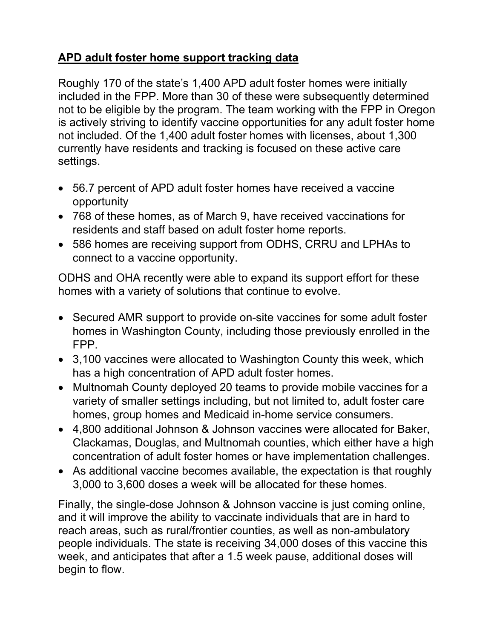# **APD adult foster home support tracking data**

Roughly 170 of the state's 1,400 APD adult foster homes were initially included in the FPP. More than 30 of these were subsequently determined not to be eligible by the program. The team working with the FPP in Oregon is actively striving to identify vaccine opportunities for any adult foster home not included. Of the 1,400 adult foster homes with licenses, about 1,300 currently have residents and tracking is focused on these active care settings.

- 56.7 percent of APD adult foster homes have received a vaccine opportunity
- 768 of these homes, as of March 9, have received vaccinations for residents and staff based on adult foster home reports.
- 586 homes are receiving support from ODHS, CRRU and LPHAs to connect to a vaccine opportunity.

ODHS and OHA recently were able to expand its support effort for these homes with a variety of solutions that continue to evolve.

- Secured AMR support to provide on-site vaccines for some adult foster homes in Washington County, including those previously enrolled in the FPP.
- 3,100 vaccines were allocated to Washington County this week, which has a high concentration of APD adult foster homes.
- Multnomah County deployed 20 teams to provide mobile vaccines for a variety of smaller settings including, but not limited to, adult foster care homes, group homes and Medicaid in-home service consumers.
- 4,800 additional Johnson & Johnson vaccines were allocated for Baker, Clackamas, Douglas, and Multnomah counties, which either have a high concentration of adult foster homes or have implementation challenges.
- As additional vaccine becomes available, the expectation is that roughly 3,000 to 3,600 doses a week will be allocated for these homes.

Finally, the single-dose Johnson & Johnson vaccine is just coming online, and it will improve the ability to vaccinate individuals that are in hard to reach areas, such as rural/frontier counties, as well as non-ambulatory people individuals. The state is receiving 34,000 doses of this vaccine this week, and anticipates that after a 1.5 week pause, additional doses will begin to flow.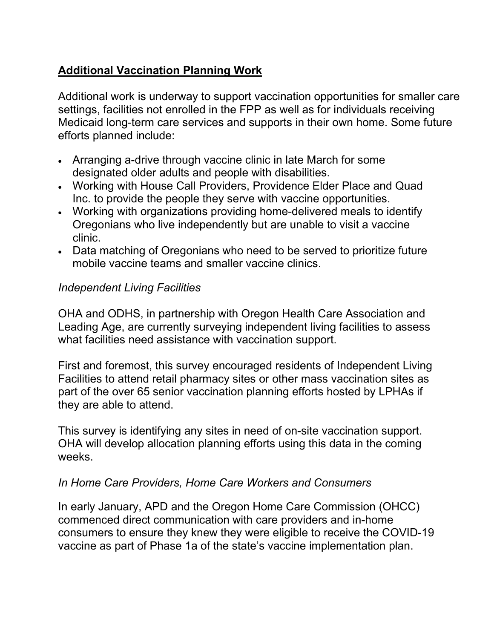# **Additional Vaccination Planning Work**

Additional work is underway to support vaccination opportunities for smaller care settings, facilities not enrolled in the FPP as well as for individuals receiving Medicaid long-term care services and supports in their own home. Some future efforts planned include:

- Arranging a-drive through vaccine clinic in late March for some designated older adults and people with disabilities.
- Working with House Call Providers, Providence Elder Place and Quad Inc. to provide the people they serve with vaccine opportunities.
- Working with organizations providing home-delivered meals to identify Oregonians who live independently but are unable to visit a vaccine clinic.
- Data matching of Oregonians who need to be served to prioritize future mobile vaccine teams and smaller vaccine clinics.

## *Independent Living Facilities*

OHA and ODHS, in partnership with Oregon Health Care Association and Leading Age, are currently surveying independent living facilities to assess what facilities need assistance with vaccination support.

First and foremost, this survey encouraged residents of Independent Living Facilities to attend retail pharmacy sites or other mass vaccination sites as part of the over 65 senior vaccination planning efforts hosted by LPHAs if they are able to attend.

This survey is identifying any sites in need of on-site vaccination support. OHA will develop allocation planning efforts using this data in the coming weeks.

#### *In Home Care Providers, Home Care Workers and Consumers*

In early January, APD and the Oregon Home Care Commission (OHCC) commenced direct communication with care providers and in-home consumers to ensure they knew they were eligible to receive the COVID-19 vaccine as part of Phase 1a of the state's vaccine implementation plan.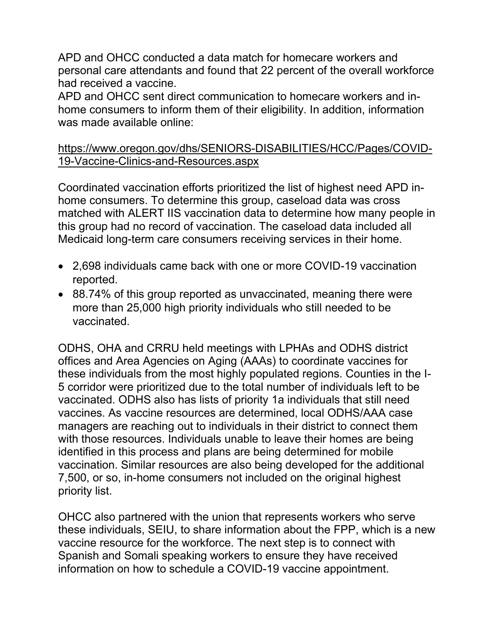APD and OHCC conducted a data match for homecare workers and personal care attendants and found that 22 percent of the overall workforce had received a vaccine.

APD and OHCC sent direct communication to homecare workers and inhome consumers to inform them of their eligibility. In addition, information was made available online:

#### [https://www.oregon.gov/dhs/SENIORS-DISABILITIES/HCC/Pages/COVID-](https://www.oregon.gov/dhs/SENIORS-DISABILITIES/HCC/Pages/COVID-19-Vaccine-Clinics-and-Resources.aspx)[19-Vaccine-Clinics-and-Resources.aspx](https://www.oregon.gov/dhs/SENIORS-DISABILITIES/HCC/Pages/COVID-19-Vaccine-Clinics-and-Resources.aspx)

Coordinated vaccination efforts prioritized the list of highest need APD inhome consumers. To determine this group, caseload data was cross matched with ALERT IIS vaccination data to determine how many people in this group had no record of vaccination. The caseload data included all Medicaid long-term care consumers receiving services in their home.

- 2,698 individuals came back with one or more COVID-19 vaccination reported.
- 88.74% of this group reported as unvaccinated, meaning there were more than 25,000 high priority individuals who still needed to be vaccinated.

ODHS, OHA and CRRU held meetings with LPHAs and ODHS district offices and Area Agencies on Aging (AAAs) to coordinate vaccines for these individuals from the most highly populated regions. Counties in the I-5 corridor were prioritized due to the total number of individuals left to be vaccinated. ODHS also has lists of priority 1a individuals that still need vaccines. As vaccine resources are determined, local ODHS/AAA case managers are reaching out to individuals in their district to connect them with those resources. Individuals unable to leave their homes are being identified in this process and plans are being determined for mobile vaccination. Similar resources are also being developed for the additional 7,500, or so, in-home consumers not included on the original highest priority list.

OHCC also partnered with the union that represents workers who serve these individuals, SEIU, to share information about the FPP, which is a new vaccine resource for the workforce. The next step is to connect with Spanish and Somali speaking workers to ensure they have received information on how to schedule a COVID-19 vaccine appointment.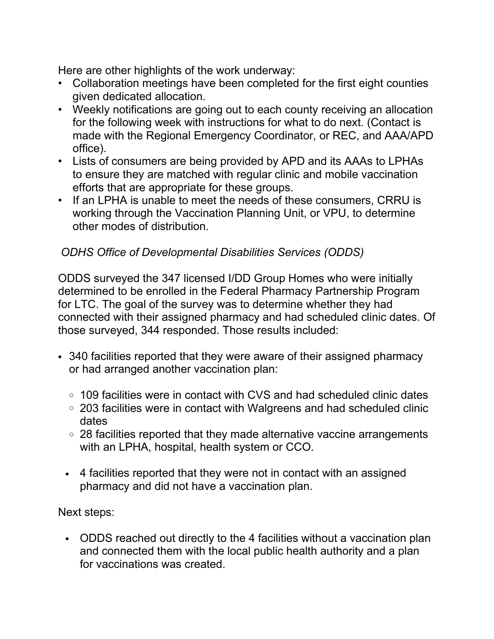Here are other highlights of the work underway:

- Collaboration meetings have been completed for the first eight counties given dedicated allocation.
- Weekly notifications are going out to each county receiving an allocation for the following week with instructions for what to do next. (Contact is made with the Regional Emergency Coordinator, or REC, and AAA/APD office).
- Lists of consumers are being provided by APD and its AAAs to LPHAs to ensure they are matched with regular clinic and mobile vaccination efforts that are appropriate for these groups.
- If an LPHA is unable to meet the needs of these consumers, CRRU is working through the Vaccination Planning Unit, or VPU, to determine other modes of distribution.

*ODHS Office of Developmental Disabilities Services (ODDS)*

ODDS surveyed the 347 licensed I/DD Group Homes who were initially determined to be enrolled in the Federal Pharmacy Partnership Program for LTC. The goal of the survey was to determine whether they had connected with their assigned pharmacy and had scheduled clinic dates. Of those surveyed, 344 responded. Those results included:

- 340 facilities reported that they were aware of their assigned pharmacy or had arranged another vaccination plan:
	- $\circ$  109 facilities were in contact with CVS and had scheduled clinic dates
	- $\circ$  203 facilities were in contact with Walgreens and had scheduled clinic dates
	- 28 facilities reported that they made alternative vaccine arrangements with an LPHA, hospital, health system or CCO.
	- 4 facilities reported that they were not in contact with an assigned pharmacy and did not have a vaccination plan.

Next steps:

• ODDS reached out directly to the 4 facilities without a vaccination plan and connected them with the local public health authority and a plan for vaccinations was created.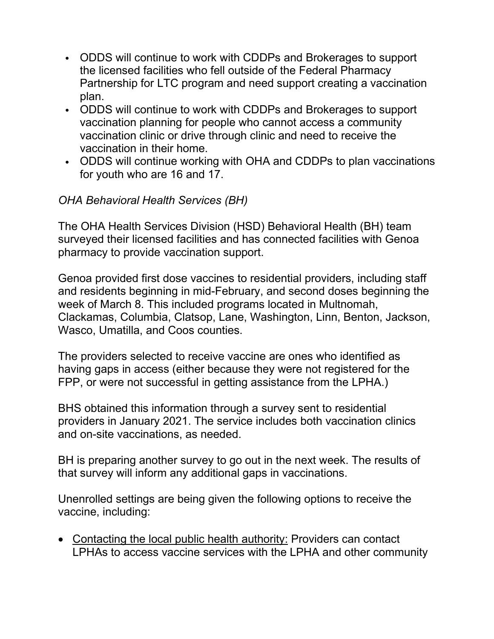- ODDS will continue to work with CDDPs and Brokerages to support the licensed facilities who fell outside of the Federal Pharmacy Partnership for LTC program and need support creating a vaccination plan.
- ODDS will continue to work with CDDPs and Brokerages to support vaccination planning for people who cannot access a community vaccination clinic or drive through clinic and need to receive the vaccination in their home.
- ODDS will continue working with OHA and CDDPs to plan vaccinations for youth who are 16 and 17.

## *OHA Behavioral Health Services (BH)*

The OHA Health Services Division (HSD) Behavioral Health (BH) team surveyed their licensed facilities and has connected facilities with Genoa pharmacy to provide vaccination support.

Genoa provided first dose vaccines to residential providers, including staff and residents beginning in mid-February, and second doses beginning the week of March 8. This included programs located in Multnomah, Clackamas, Columbia, Clatsop, Lane, Washington, Linn, Benton, Jackson, Wasco, Umatilla, and Coos counties.

The providers selected to receive vaccine are ones who identified as having gaps in access (either because they were not registered for the FPP, or were not successful in getting assistance from the LPHA.)

BHS obtained this information through a survey sent to residential providers in January 2021. The service includes both vaccination clinics and on-site vaccinations, as needed.

BH is preparing another survey to go out in the next week. The results of that survey will inform any additional gaps in vaccinations.

Unenrolled settings are being given the following options to receive the vaccine, including:

• Contacting the local public health authority: Providers can contact LPHAs to access vaccine services with the LPHA and other community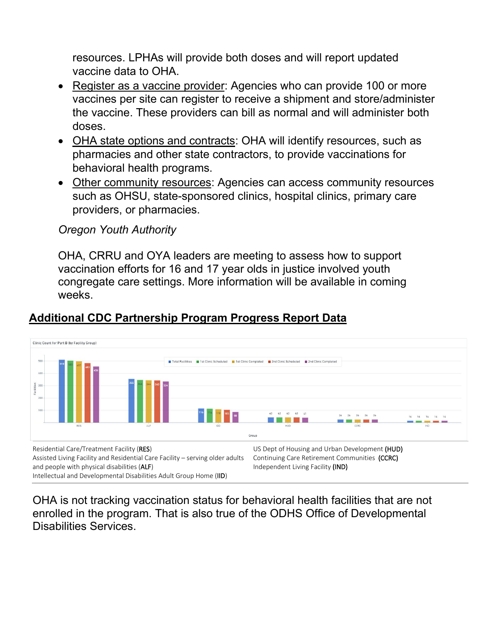resources. LPHAs will provide both doses and will report updated vaccine data to OHA.

- Register as a vaccine provider: Agencies who can provide 100 or more vaccines per site can register to receive a shipment and store/administer the vaccine. These providers can bill as normal and will administer both doses.
- OHA state options and contracts: OHA will identify resources, such as pharmacies and other state contractors, to provide vaccinations for behavioral health programs.
- Other community resources: Agencies can access community resources such as OHSU, state-sponsored clinics, hospital clinics, primary care providers, or pharmacies.

## *Oregon Youth Authority*

OHA, CRRU and OYA leaders are meeting to assess how to support vaccination efforts for 16 and 17 year olds in justice involved youth congregate care settings. More information will be available in coming weeks.



# **Additional CDC Partnership Program Progress Report Data**

OHA is not tracking vaccination status for behavioral health facilities that are not enrolled in the program. That is also true of the ODHS Office of Developmental Disabilities Services.